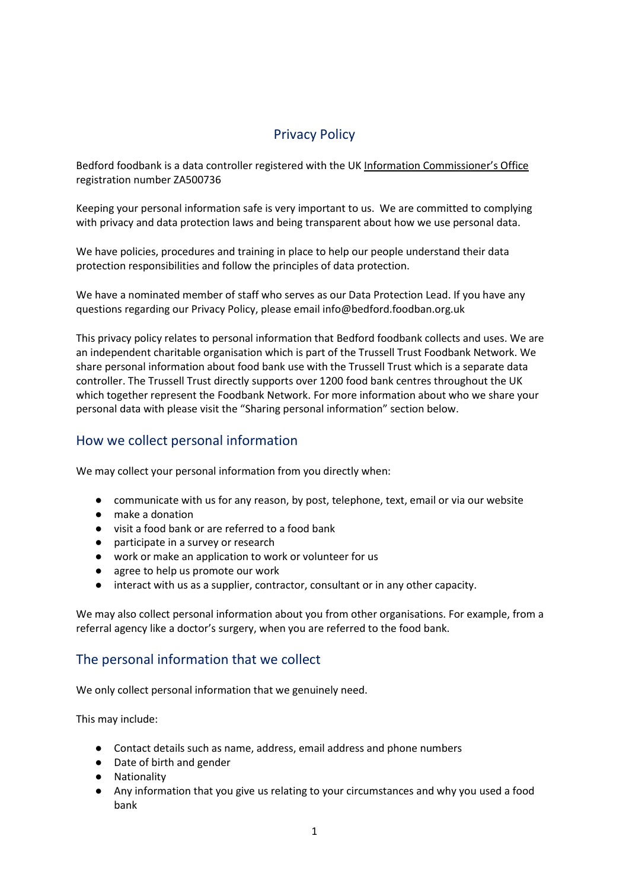# Privacy Policy

Bedford foodbank is a data controller registered with the UK [Information Commissioner's Office](https://ico.org.uk/) registration number ZA500736

Keeping your personal information safe is very important to us. We are committed to complying with privacy and data protection laws and being transparent about how we use personal data.

We have policies, procedures and training in place to help our people understand their data protection responsibilities and follow the principles of data protection.

We have a nominated member of staff who serves as our Data Protection Lead. If you have any questions regarding our Privacy Policy, please email info@bedford.foodban.org.uk

This privacy policy relates to personal information that Bedford foodbank collects and uses. We are an independent charitable organisation which is part of the Trussell Trust Foodbank Network. We share personal information about food bank use with the Trussell Trust which is a separate data controller. The Trussell Trust directly supports over 1200 food bank centres throughout the UK which together represent the Foodbank Network. For more information about who we share your personal data with please visit the "Sharing personal information" section below.

# How we collect personal information

We may collect your personal information from you directly when:

- communicate with us for any reason, by post, telephone, text, email or via our website
- make a donation
- visit a food bank or are referred to a food bank
- participate in a survey or research
- work or make an application to work or volunteer for us
- agree to help us promote our work
- interact with us as a supplier, contractor, consultant or in any other capacity.

We may also collect personal information about you from other organisations. For example, from a referral agency like a doctor's surgery, when you are referred to the food bank.

# The personal information that we collect

We only collect personal information that we genuinely need.

This may include:

- Contact details such as name, address, email address and phone numbers
- Date of birth and gender
- **Nationality**
- Any information that you give us relating to your circumstances and why you used a food bank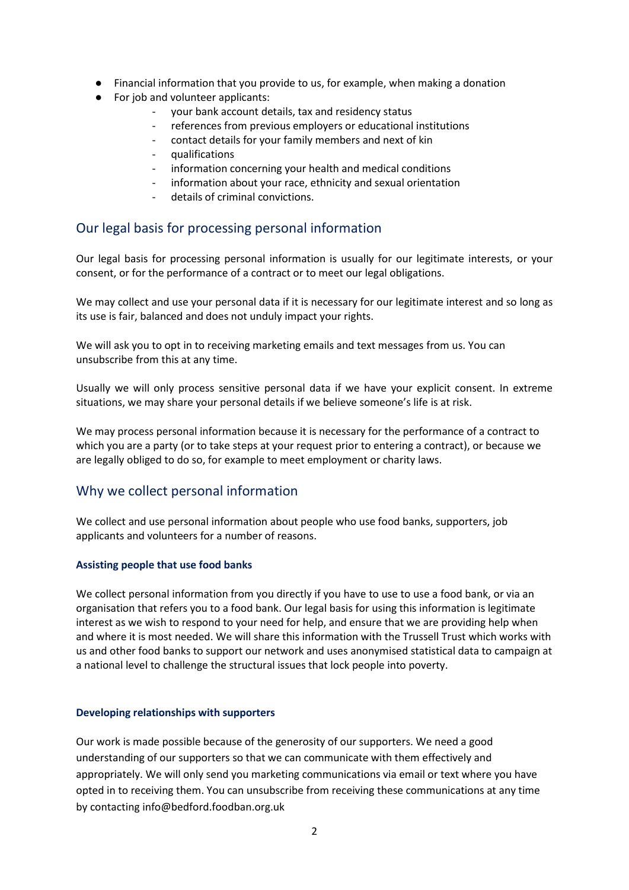- Financial information that you provide to us, for example, when making a donation
- For job and volunteer applicants:
	- your bank account details, tax and residency status
	- references from previous employers or educational institutions
	- contact details for your family members and next of kin
	- qualifications
	- information concerning your health and medical conditions
	- information about your race, ethnicity and sexual orientation
	- details of criminal convictions.

## Our legal basis for processing personal information

Our legal basis for processing personal information is usually for our legitimate interests, or your consent, or for the performance of a contract or to meet our legal obligations.

We may collect and use your personal data if it is necessary for our legitimate interest and so long as its use is fair, balanced and does not unduly impact your rights.

We will ask you to opt in to receiving marketing emails and text messages from us. You can unsubscribe from this at any time.

Usually we will only process sensitive personal data if we have your explicit consent. In extreme situations, we may share your personal details if we believe someone's life is at risk.

We may process personal information because it is necessary for the performance of a contract to which you are a party (or to take steps at your request prior to entering a contract), or because we are legally obliged to do so, for example to meet employment or charity laws.

# Why we collect personal information

We collect and use personal information about people who use food banks, supporters, job applicants and volunteers for a number of reasons.

### **Assisting people that use food banks**

We collect personal information from you directly if you have to use to use a food bank, or via an organisation that refers you to a food bank. Our legal basis for using this information is legitimate interest as we wish to respond to your need for help, and ensure that we are providing help when and where it is most needed. We will share this information with the Trussell Trust which works with us and other food banks to support our network and uses anonymised statistical data to campaign at a national level to challenge the structural issues that lock people into poverty.

### **Developing relationships with supporters**

Our work is made possible because of the generosity of our supporters. We need a good understanding of our supporters so that we can communicate with them effectively and appropriately. We will only send you marketing communications via email or text where you have opted in to receiving them. You can unsubscribe from receiving these communications at any time by contacting info@bedford.foodban.org.uk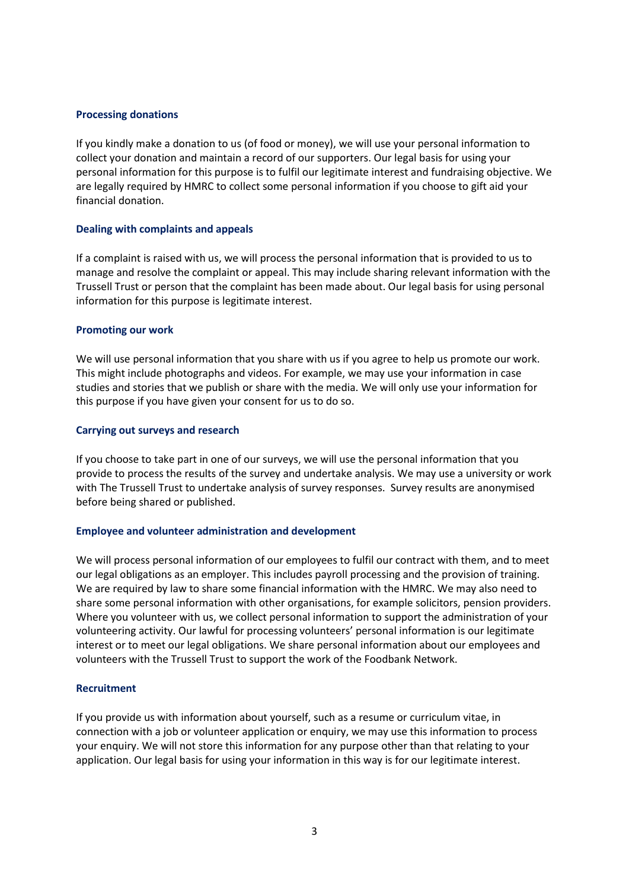### **Processing donations**

If you kindly make a donation to us (of food or money), we will use your personal information to collect your donation and maintain a record of our supporters. Our legal basis for using your personal information for this purpose is to fulfil our legitimate interest and fundraising objective. We are legally required by HMRC to collect some personal information if you choose to gift aid your financial donation.

#### **Dealing with complaints and appeals**

If a complaint is raised with us, we will process the personal information that is provided to us to manage and resolve the complaint or appeal. This may include sharing relevant information with the Trussell Trust or person that the complaint has been made about. Our legal basis for using personal information for this purpose is legitimate interest.

### **Promoting our work**

We will use personal information that you share with us if you agree to help us promote our work. This might include photographs and videos. For example, we may use your information in case studies and stories that we publish or share with the media. We will only use your information for this purpose if you have given your consent for us to do so.

### **Carrying out surveys and research**

If you choose to take part in one of our surveys, we will use the personal information that you provide to process the results of the survey and undertake analysis. We may use a university or work with The Trussell Trust to undertake analysis of survey responses. Survey results are anonymised before being shared or published.

### **Employee and volunteer administration and development**

We will process personal information of our employees to fulfil our contract with them, and to meet our legal obligations as an employer. This includes payroll processing and the provision of training. We are required by law to share some financial information with the HMRC. We may also need to share some personal information with other organisations, for example solicitors, pension providers. Where you volunteer with us, we collect personal information to support the administration of your volunteering activity. Our lawful for processing volunteers' personal information is our legitimate interest or to meet our legal obligations. We share personal information about our employees and volunteers with the Trussell Trust to support the work of the Foodbank Network.

#### **Recruitment**

If you provide us with information about yourself, such as a resume or curriculum vitae, in connection with a job or volunteer application or enquiry, we may use this information to process your enquiry. We will not store this information for any purpose other than that relating to your application. Our legal basis for using your information in this way is for our legitimate interest.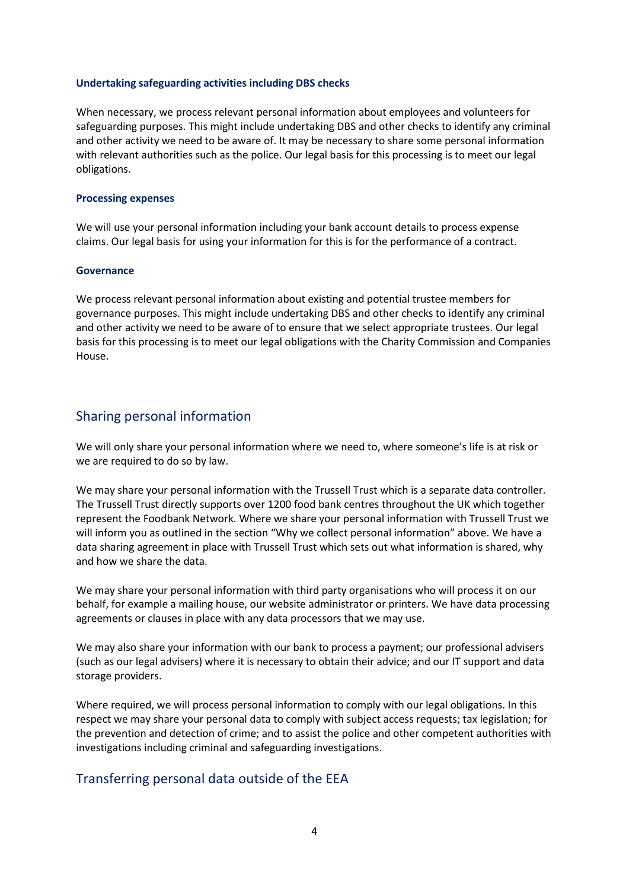### **Undertaking safeguarding activities including DBS checks**

When necessary, we process relevant personal information about employees and volunteers for safeguarding purposes. This might include undertaking DBS and other checks to identify any criminal and other activity we need to be aware of. It may be necessary to share some personal information with relevant authorities such as the police. Our legal basis for this processing is to meet our legal obligations.

### **Processing expenses**

We will use your personal information including your bank account details to process expense claims. Our legal basis for using your information for this is for the performance of a contract.

### **Governance**

We process relevant personal information about existing and potential trustee members for governance purposes. This might include undertaking DBS and other checks to identify any criminal and other activity we need to be aware of to ensure that we select appropriate trustees. Our legal basis for this processing is to meet our legal obligations with the Charity Commission and Companies House.

## Sharing personal information

We will only share your personal information where we need to, where someone's life is at risk or we are required to do so by law.

We may share your personal information with the Trussell Trust which is a separate data controller. The Trussell Trust directly supports over 1200 food bank centres throughout the UK which together represent the Foodbank Network. Where we share your personal information with Trussell Trust we will inform you as outlined in the section "Why we collect personal information" above. We have a data sharing agreement in place with Trussell Trust which sets out what information is shared, why and how we share the data.

We may share your personal information with third party organisations who will process it on our behalf, for example a mailing house, our website administrator or printers. We have data processing agreements or clauses in place with any data processors that we may use.

We may also share your information with our bank to process a payment; our professional advisers (such as our legal advisers) where it is necessary to obtain their advice; and our IT support and data storage providers.

Where required, we will process personal information to comply with our legal obligations. In this respect we may share your personal data to comply with subject access requests; tax legislation; for the prevention and detection of crime; and to assist the police and other competent authorities with investigations including criminal and safeguarding investigations.

### Transferring personal data outside of the EEA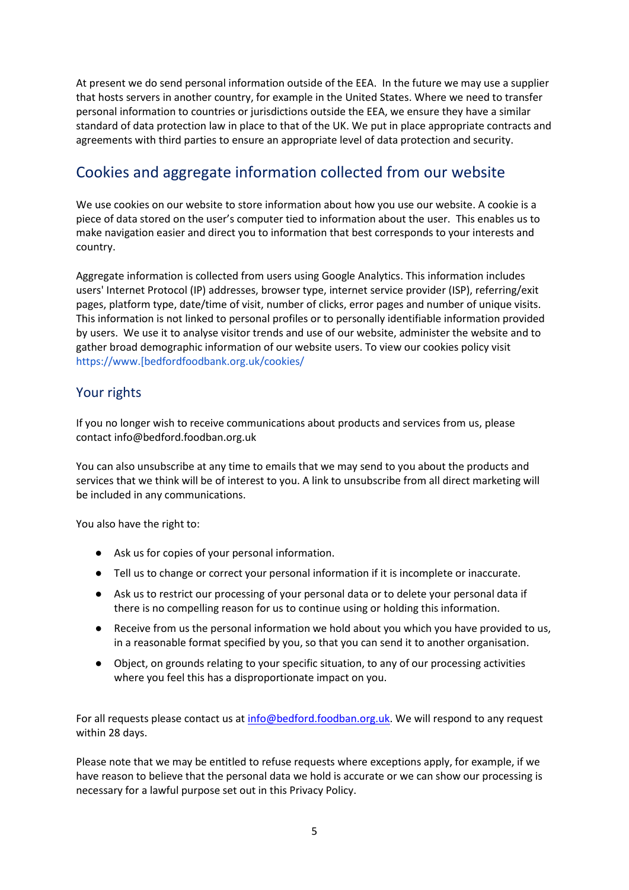At present we do send personal information outside of the EEA. In the future we may use a supplier that hosts servers in another country, for example in the United States. Where we need to transfer personal information to countries or jurisdictions outside the EEA, we ensure they have a similar standard of data protection law in place to that of the UK. We put in place appropriate contracts and agreements with third parties to ensure an appropriate level of data protection and security.

# Cookies and aggregate information collected from our website

We use cookies on our website to store information about how you use our website. A cookie is a piece of data stored on the user's computer tied to information about the user. This enables us to make navigation easier and direct you to information that best corresponds to your interests and country.

Aggregate information is collected from users using Google Analytics. This information includes users' Internet Protocol (IP) addresses, browser type, internet service provider (ISP), referring/exit pages, platform type, date/time of visit, number of clicks, error pages and number of unique visits. This information is not linked to personal profiles or to personally identifiable information provided by users. We use it to analyse visitor trends and use of our website, administer the website and to gather broad demographic information of our website users. To view our cookies policy visit https://www.[bedfordfoodbank.org.uk/cookies/

# Your rights

If you no longer wish to receive communications about products and services from us, please contact info@bedford.foodban.org.uk

You can also unsubscribe at any time to emails that we may send to you about the products and services that we think will be of interest to you. A link to unsubscribe from all direct marketing will be included in any communications.

You also have the right to:

- Ask us for copies of your personal information.
- Tell us to change or correct your personal information if it is incomplete or inaccurate.
- Ask us to restrict our processing of your personal data or to delete your personal data if there is no compelling reason for us to continue using or holding this information.
- Receive from us the personal information we hold about you which you have provided to us, in a reasonable format specified by you, so that you can send it to another organisation.
- Object, on grounds relating to your specific situation, to any of our processing activities where you feel this has a disproportionate impact on you.

For all requests please contact us at [info@bedford.foodban.org.uk.](mailto:info@bedford.foodban.org.uk) We will respond to any request within 28 days.

Please note that we may be entitled to refuse requests where exceptions apply, for example, if we have reason to believe that the personal data we hold is accurate or we can show our processing is necessary for a lawful purpose set out in this Privacy Policy.